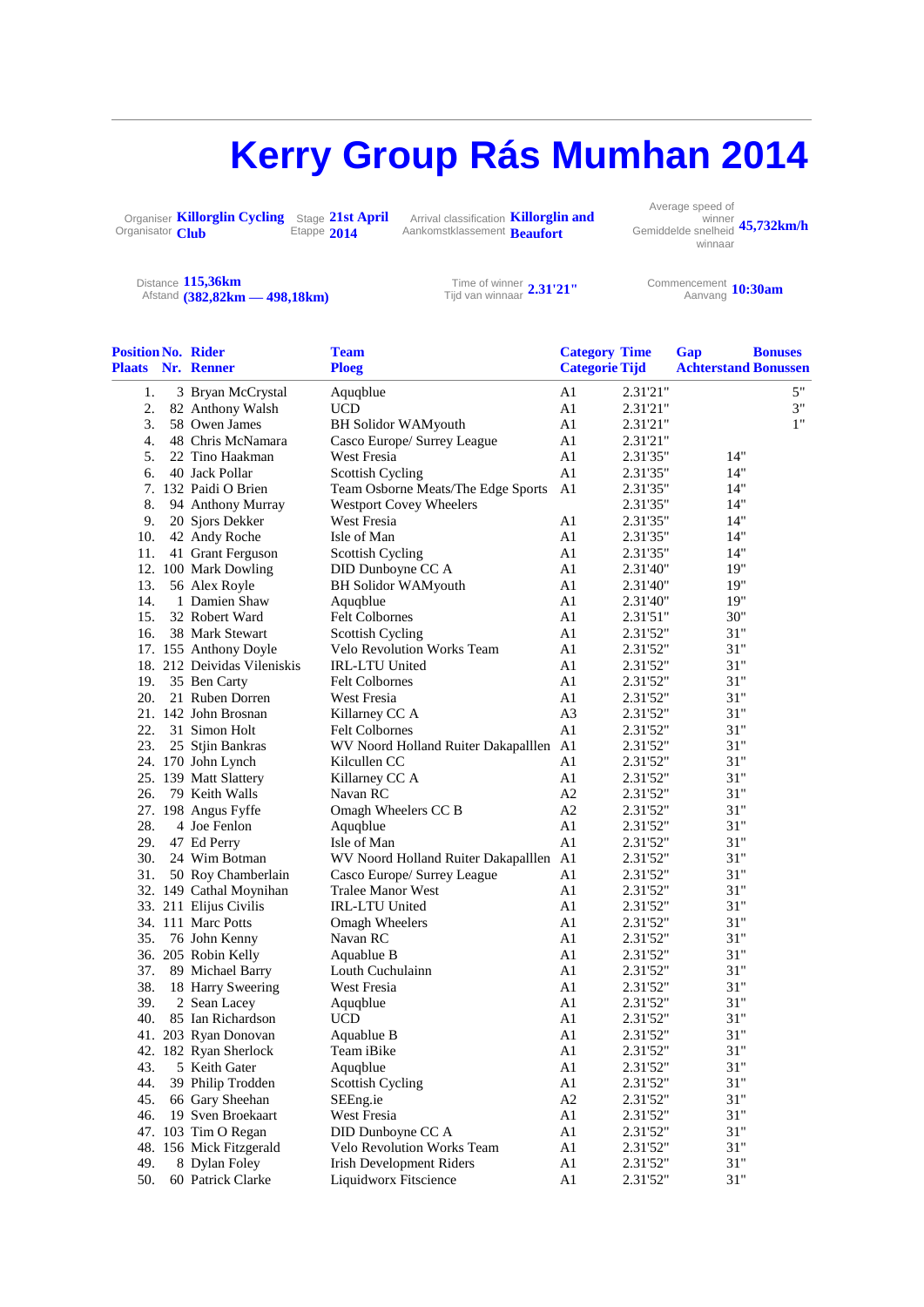## **Kerry Group Rás Mumhan 2014**

Organiser **Killorglin Cycling**  Organisator Club **Club Stage** Stage **21st April**<br>Etappe **2014 2014**

Arrival classification Arrival classification **Killorglin and**<br>Aankomstklassement **Reaufort Beaufort**

Average speed of winner Gemiddelde snelheid **45,732km/h** winnaar

Distance **115,36km** Afstand **(382,82km — 498,18km)** Time of winner Tijd van winnaar **2.31'21"** Commencement

Aanvang **10:30am**

| <b>Position No. Rider</b> |                             | <b>Team</b>                                | <b>Category Time</b>  |          | Gap                         | <b>Bonuses</b> |
|---------------------------|-----------------------------|--------------------------------------------|-----------------------|----------|-----------------------------|----------------|
|                           | <b>Plaats Nr. Renner</b>    | <b>Ploeg</b>                               | <b>Categorie Tijd</b> |          | <b>Achterstand Bonussen</b> |                |
| 1.                        | 3 Bryan McCrystal           | Aquqblue                                   | A1                    | 2.31'21" |                             | 5"             |
| 2.                        | 82 Anthony Walsh            | <b>UCD</b>                                 | A1                    | 2.31'21" |                             | 3"             |
| 3.                        | 58 Owen James               | <b>BH Solidor WAMyouth</b>                 | A1                    | 2.31'21" |                             | 1"             |
| 4.                        | 48 Chris McNamara           | Casco Europe/ Surrey League                | A1                    | 2.31'21" |                             |                |
| 5.                        | 22 Tino Haakman             | West Fresia                                | A1                    | 2.31'35" | 14"                         |                |
| 6.                        | 40 Jack Pollar              | Scottish Cycling                           | A1                    | 2.31'35" | 14"                         |                |
|                           | 7. 132 Paidi O Brien        | Team Osborne Meats/The Edge Sports         | A1                    | 2.31'35" | 14"                         |                |
| 8.                        | 94 Anthony Murray           | <b>Westport Covey Wheelers</b>             |                       | 2.31'35" | 14"                         |                |
| 9.                        | 20 Sjors Dekker             | West Fresia                                | A1                    | 2.31'35" | 14"                         |                |
| 10.                       | 42 Andy Roche               | Isle of Man                                | A1                    | 2.31'35" | 14"                         |                |
| 11.                       | 41 Grant Ferguson           | <b>Scottish Cycling</b>                    | A1                    | 2.31'35" | $14"$                       |                |
|                           | 12. 100 Mark Dowling        | DID Dunboyne CC A                          | A1                    | 2.31'40" | 19"                         |                |
| 13.                       | 56 Alex Royle               | <b>BH Solidor WAMyouth</b>                 | A1                    | 2.31'40" | 19"                         |                |
| 14.                       | 1 Damien Shaw               | Aquqblue                                   | A1                    | 2.31'40" | 19"                         |                |
| 15.                       | 32 Robert Ward              | <b>Felt Colbornes</b>                      | A1                    | 2.31'51" | 30"                         |                |
| 16.                       | 38 Mark Stewart             | <b>Scottish Cycling</b>                    | A1                    | 2.31'52" | 31"                         |                |
|                           | 17. 155 Anthony Doyle       | <b>Velo Revolution Works Team</b>          | A1                    | 2.31'52" | 31"                         |                |
|                           | 18. 212 Deividas Vileniskis | IRL-LTU United                             | A1                    | 2.31'52" | 31"                         |                |
|                           | 19. 35 Ben Carty            | <b>Felt Colbornes</b>                      | A1                    | 2.31'52" | 31"                         |                |
| 20.                       | 21 Ruben Dorren             | West Fresia                                | A1                    | 2.31'52" | 31"                         |                |
|                           | 21. 142 John Brosnan        | Killarney CC A                             | A <sub>3</sub>        | 2.31'52" | 31"                         |                |
| 22.                       | 31 Simon Holt               | <b>Felt Colbornes</b>                      | A1                    | 2.31'52" | 31"                         |                |
| 23.                       | 25 Stjin Bankras            | WV Noord Holland Ruiter Dakapalllen A1     |                       | 2.31'52" | 31"                         |                |
|                           | 24. 170 John Lynch          | Kilcullen CC                               | A1                    | 2.31'52" | 31"                         |                |
|                           | 25. 139 Matt Slattery       | Killarney CC A                             | A1                    | 2.31'52" | 31"                         |                |
| 26.                       | 79 Keith Walls              | Navan RC                                   | A2                    | 2.31'52" | 31"                         |                |
|                           | 27. 198 Angus Fyffe         | Omagh Wheelers CC B                        | A2                    | 2.31'52" | 31"                         |                |
| 28.                       | 4 Joe Fenlon                |                                            | A1                    | 2.31'52" | 31"                         |                |
| 29.                       | 47 Ed Perry                 | Aquqblue<br>Isle of Man                    | A1                    | 2.31'52" | 31"                         |                |
| 30.                       | 24 Wim Botman               |                                            |                       | 2.31'52" | 31"                         |                |
|                           |                             | WV Noord Holland Ruiter Dakapalllen A1     |                       | 2.31'52" | 31"                         |                |
| 31.                       | 50 Roy Chamberlain          | Casco Europe/ Surrey League                | A1                    |          | 31"                         |                |
|                           | 32. 149 Cathal Moynihan     | Tralee Manor West<br><b>IRL-LTU United</b> | A1                    | 2.31'52" | 31"                         |                |
|                           | 33. 211 Elijus Civilis      |                                            | A1                    | 2.31'52" |                             |                |
|                           | 34. 111 Marc Potts          | Omagh Wheelers<br>Navan RC                 | A1                    | 2.31'52" | 31"<br>31"                  |                |
| 35.                       | 76 John Kenny               |                                            | A1                    | 2.31'52" |                             |                |
|                           | 36. 205 Robin Kelly         | Aquablue B                                 | A1                    | 2.31'52" | 31"                         |                |
| 37.                       | 89 Michael Barry            | Louth Cuchulainn                           | A1                    | 2.31'52" | 31"                         |                |
| 38.                       | 18 Harry Sweering           | <b>West Fresia</b>                         | A1                    | 2.31'52" | 31"                         |                |
| 39.                       | 2 Sean Lacev                | Aquqblue                                   | A1                    | 2.31'52" | 31"                         |                |
| 40.                       | 85 Ian Richardson           | <b>UCD</b>                                 | A1                    | 2.31'52" | 31"                         |                |
| 41.                       | 203 Ryan Donovan            | Aquablue B                                 | A1                    | 2.31'52" | 31"                         |                |
|                           | 42. 182 Ryan Sherlock       | Team iBike                                 | A1                    | 2.31'52" | 31"                         |                |
| 43.                       | 5 Keith Gater               | Aquqblue                                   | A <sub>1</sub>        | 2.31'52" | $31^{\circ}$                |                |
| 44.                       | 39 Philip Trodden           | <b>Scottish Cycling</b>                    | A <sub>1</sub>        | 2.31'52" | 31"                         |                |
| 45.                       | 66 Gary Sheehan             | SEEng.ie                                   | A2                    | 2.31'52" | 31"                         |                |
| 46.                       | 19 Sven Broekaart           | West Fresia                                | A1                    | 2.31'52" | 31"                         |                |
|                           | 47. 103 Tim O Regan         | DID Dunboyne CC A                          | A1                    | 2.31'52" | $31^{\circ}$                |                |
|                           | 48. 156 Mick Fitzgerald     | Velo Revolution Works Team                 | A1                    | 2.31'52" | 31"                         |                |
| 49.                       | 8 Dylan Foley               | <b>Irish Development Riders</b>            | A <sub>1</sub>        | 2.31'52" | 31"                         |                |
| 50.                       | 60 Patrick Clarke           | Liquidworx Fitscience                      | A1                    | 2.31'52" | 31"                         |                |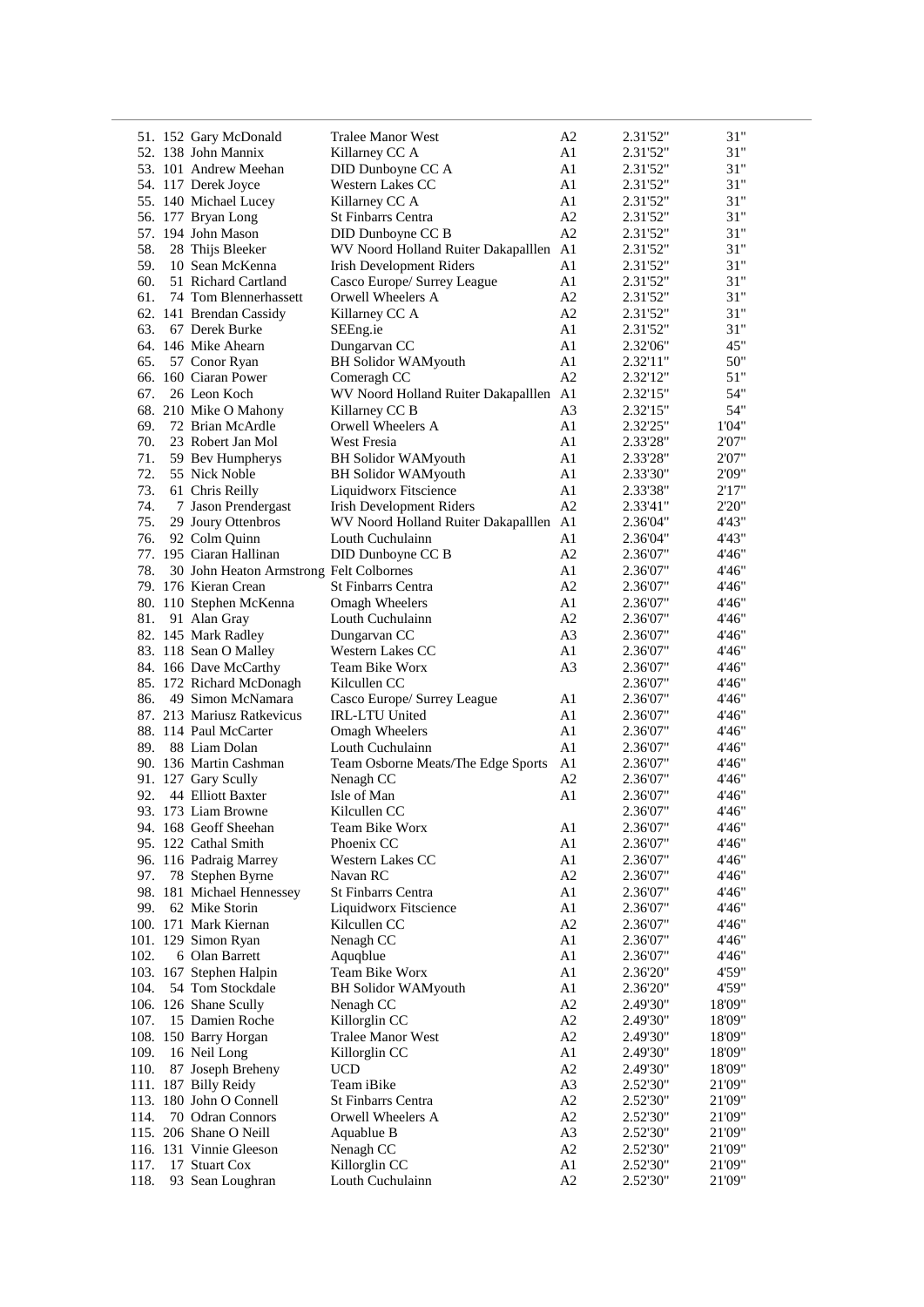|            | 51. 152 Gary McDonald                                           | Tralee Manor West                                          | A2                   | 2.31'52"             | 31"              |
|------------|-----------------------------------------------------------------|------------------------------------------------------------|----------------------|----------------------|------------------|
|            | 52. 138 John Mannix                                             | Killarney CC A                                             | A1                   | 2.31'52"             | 31"              |
|            | 53. 101 Andrew Meehan                                           | DID Dunboyne CC A                                          | A1                   | 2.31'52"             | 31"              |
|            | 54. 117 Derek Joyce                                             | Western Lakes CC                                           | A1                   | 2.31'52"             | 31"              |
|            | 55. 140 Michael Lucey                                           | Killarney CC A                                             | A1                   | 2.31'52"             | 31"              |
|            | 56. 177 Bryan Long                                              | St Finbarrs Centra                                         | A2                   | 2.31'52"             | 31"              |
|            | 57. 194 John Mason                                              | DID Dunboyne CC B                                          | A2                   | 2.31'52"             | 31"              |
| 58.        | 28 Thijs Bleeker                                                | WV Noord Holland Ruiter Dakapalllen A1                     |                      | 2.31'52"             | 31"              |
| 59.        | 10 Sean McKenna                                                 | <b>Irish Development Riders</b>                            | A1                   | 2.31'52"             | 31"              |
| 60.        | 51 Richard Cartland                                             | Casco Europe/ Surrey League                                | A1                   | 2.31'52"             | 31"              |
| 61.        | 74 Tom Blennerhassett                                           | Orwell Wheelers A                                          | A2                   | 2.31'52"             | 31"              |
|            | 62. 141 Brendan Cassidy                                         | Killarney CC A                                             | A2                   | 2.31'52"             | 31"              |
| 63.        | 67 Derek Burke                                                  | SEEng.ie                                                   | A1                   | 2.31'52"             | 31"              |
|            | 64. 146 Mike Ahearn                                             | Dungarvan CC                                               | A1                   | 2.32'06"             | 45"              |
| 65.        | 57 Conor Ryan                                                   | <b>BH Solidor WAMyouth</b>                                 | A1                   | 2.32'11"             | 50"              |
|            | 66. 160 Ciaran Power                                            | Comeragh CC                                                | A2                   | 2.32'12"             | 51"              |
| 67.        | 26 Leon Koch                                                    | WV Noord Holland Ruiter Dakapalllen A1                     |                      | 2.32'15"             | 54"              |
|            | 68. 210 Mike O Mahony                                           | Killarney CC B                                             | A <sub>3</sub>       | 2.32'15"             | 54"              |
|            | 69. 72 Brian McArdle                                            | Orwell Wheelers A                                          | A1                   | 2.32'25"             | 1'04"            |
| 70.        | 23 Robert Jan Mol                                               | West Fresia                                                | A1                   | 2.33'28"             | 2'07"            |
| 71.        | 59 Bev Humpherys                                                | <b>BH Solidor WAMyouth</b>                                 | A1                   | 2.33'28"             | 2'07"            |
| 72.        | 55 Nick Noble                                                   | <b>BH Solidor WAMyouth</b>                                 | A1                   | 2.33'30"             | 2'09"            |
| 73.        | 61 Chris Reilly                                                 | Liquidworx Fitscience                                      | A1<br>A2             | 2.33'38"             | 2'17"<br>2'20"   |
| 74.<br>75. | 7 Jason Prendergast<br>29 Joury Ottenbros                       | Irish Development Riders                                   |                      | 2.33'41"             |                  |
| 76.        |                                                                 | WV Noord Holland Ruiter Dakapalllen A1<br>Louth Cuchulainn |                      | 2.36'04"             | 4'43"<br>4'43"   |
|            | 92 Colm Quinn<br>77. 195 Ciaran Hallinan                        |                                                            | A1<br>A2             | 2.36'04"             |                  |
|            |                                                                 | DID Dunboyne CC B                                          | A1                   | 2.36'07"             | 4'46"<br>4'46"   |
| 78.        | 30 John Heaton Armstrong Felt Colbornes<br>79. 176 Kieran Crean | St Finbarrs Centra                                         | A2                   | 2.36'07"             | 4'46"            |
|            |                                                                 |                                                            | A1                   | 2.36'07"             | 4'46"            |
| 81.        | 80. 110 Stephen McKenna<br>91 Alan Gray                         | <b>Omagh Wheelers</b><br>Louth Cuchulainn                  | A2                   | 2.36'07"<br>2.36'07" | 4'46"            |
|            | 82. 145 Mark Radley                                             | Dungarvan CC                                               | A <sub>3</sub>       | 2.36'07"             | 4'46"            |
|            | 83. 118 Sean O Malley                                           | Western Lakes CC                                           | A1                   | 2.36'07"             | 4'46"            |
|            | 84. 166 Dave McCarthy                                           | Team Bike Worx                                             | A <sub>3</sub>       | 2.36'07"             | 4'46"            |
|            | 85. 172 Richard McDonagh                                        | Kilcullen CC                                               |                      | 2.36'07"             | 4'46"            |
| 86.        | 49 Simon McNamara                                               | Casco Europe/ Surrey League                                | A1                   | 2.36'07"             | 4'46"            |
|            | 87. 213 Mariusz Ratkevicus                                      | <b>IRL-LTU United</b>                                      | A1                   | 2.36'07"             | 4'46"            |
|            | 88. 114 Paul McCarter                                           | Omagh Wheelers                                             | A1                   | 2.36'07"             | 4'46"            |
|            | 89. 88 Liam Dolan                                               | Louth Cuchulainn                                           | A1                   | 2.36'07"             | 4'46"            |
|            | 90. 136 Martin Cashman                                          | Team Osborne Meats/The Edge Sports                         | A1                   | 2.36'07"             | 4'46"            |
|            | 91. 127 Gary Scully                                             | Nenagh CC                                                  | A2                   | 2.36'07"             | 4'46"            |
| 92.        | 44 Elliott Baxter                                               | Isle of Man                                                | A1                   | 2.36'07"             | 4'46"            |
|            | 93. 173 Liam Browne                                             | Kilcullen CC                                               |                      | 2.36'07"             | 4'46"            |
|            | 94. 168 Geoff Sheehan                                           | Team Bike Worx                                             | A1                   | 2.36'07"             | 4'46"            |
|            | 95. 122 Cathal Smith                                            | Phoenix CC                                                 | A1                   | 2.36'07"             | 4'46"            |
|            | 96. 116 Padraig Marrey                                          | Western Lakes CC                                           | A1                   | 2.36'07"             | 4'46"            |
| 97.        | 78 Stephen Byrne                                                | Navan RC                                                   | A2                   | 2.36'07"             | 4'46"            |
|            | 98. 181 Michael Hennessey                                       | <b>St Finbarrs Centra</b>                                  | A1                   | 2.36'07"             | 4'46"            |
| 99.        | 62 Mike Storin                                                  | Liquidworx Fitscience                                      | A1                   | 2.36'07"             | 4'46"            |
|            | 100. 171 Mark Kiernan                                           | Kilcullen CC                                               | A2                   | 2.36'07"             | 4'46"            |
|            | 101. 129 Simon Ryan                                             | Nenagh CC                                                  | A1                   | 2.36'07"             | 4'46"            |
| 102.       | 6 Olan Barrett                                                  | Aquqblue                                                   | A1                   | 2.36'07"             | 4'46"            |
|            | 103. 167 Stephen Halpin                                         | Team Bike Worx                                             | A1                   | 2.36'20"             | 4'59"            |
| 104.       | 54 Tom Stockdale                                                | <b>BH Solidor WAMyouth</b>                                 | A1                   | 2.36'20"             | 4'59"            |
|            | 106. 126 Shane Scully                                           | Nenagh CC                                                  | A2                   | 2.49'30"             | 18'09"           |
| 107.       | 15 Damien Roche                                                 | Killorglin CC                                              | A2                   | 2.49'30"             | 18'09"           |
|            | 108. 150 Barry Horgan                                           | Tralee Manor West                                          | A2<br>A1             | 2.49'30"             | 18'09"           |
| 109.       | 16 Neil Long                                                    | Killorglin CC<br><b>UCD</b>                                | A2                   | 2.49'30"             | 18'09"           |
| 110.       | 87 Joseph Breheny                                               | Team iBike                                                 |                      | 2.49'30"             | 18'09"           |
|            | 111. 187 Billy Reidy<br>113. 180 John O Connell                 | <b>St Finbarrs Centra</b>                                  | A <sub>3</sub><br>A2 | 2.52'30"<br>2.52'30" | 21'09"<br>21'09" |
| 114.       | 70 Odran Connors                                                | Orwell Wheelers A                                          | A2                   | 2.52'30"             | 21'09"           |
|            | 115. 206 Shane O Neill                                          | Aquablue B                                                 | A <sub>3</sub>       | 2.52'30"             | 21'09"           |
|            | 116. 131 Vinnie Gleeson                                         | Nenagh CC                                                  | A2                   | 2.52'30"             | 21'09"           |
| 117.       | 17 Stuart Cox                                                   | Killorglin CC                                              | A1                   | 2.52'30"             | 21'09"           |
| 118.       | 93 Sean Loughran                                                | Louth Cuchulainn                                           | A2                   | 2.52'30"             | 21'09"           |
|            |                                                                 |                                                            |                      |                      |                  |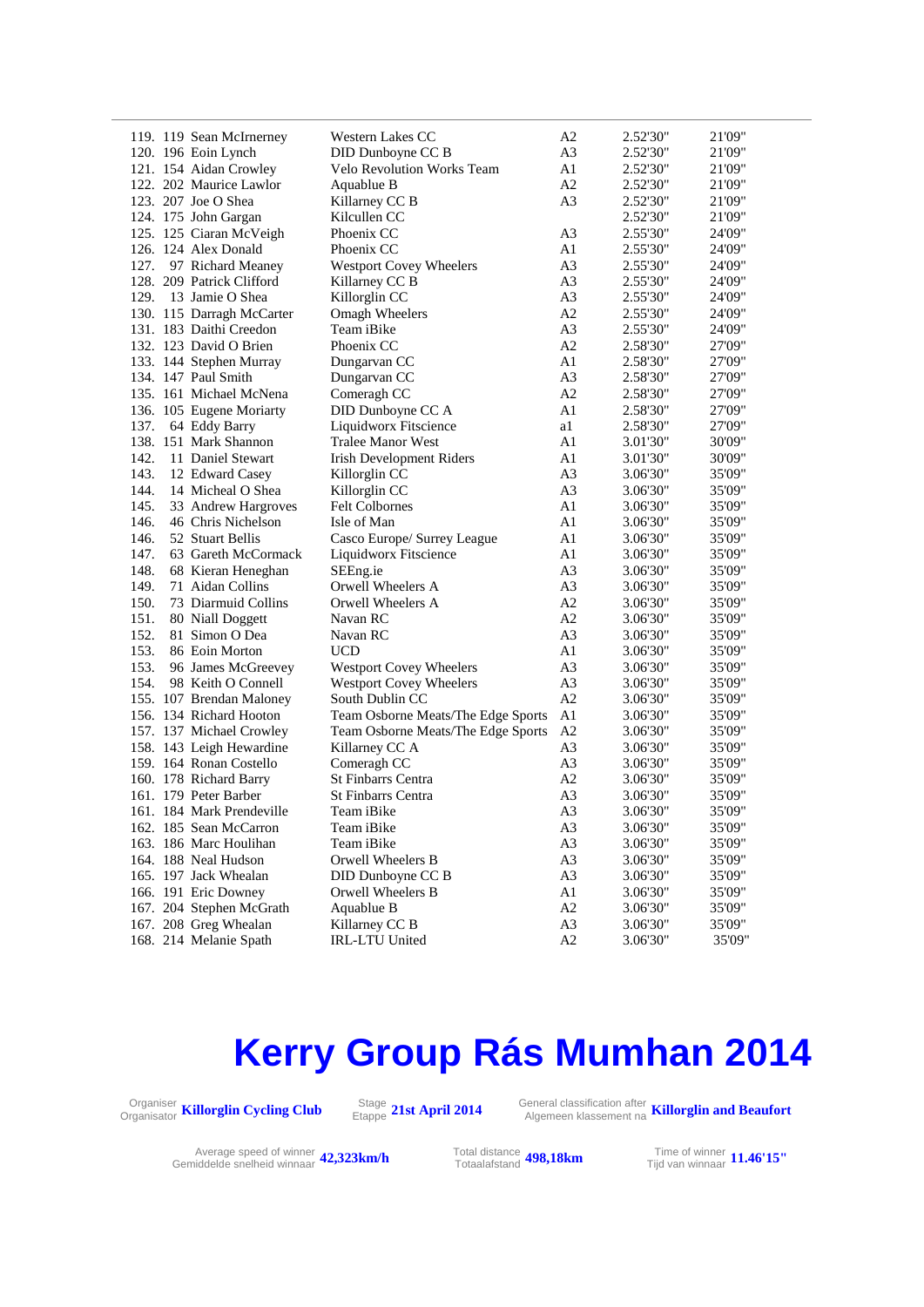| 119. 119 Sean McIrnerney    | <b>Western Lakes CC</b>   |                                    | A2             | 2.52'30" | 21'09" |
|-----------------------------|---------------------------|------------------------------------|----------------|----------|--------|
| 120. 196 Eoin Lynch         |                           | DID Dunboyne CC B                  | A <sub>3</sub> | 2.52'30" | 21'09" |
| 121. 154 Aidan Crowley      |                           | Velo Revolution Works Team         | A1             | 2.52'30" | 21'09" |
| 122. 202 Maurice Lawlor     | Aquablue B                |                                    | A2             | 2.52'30" | 21'09" |
| 123. 207 Joe O Shea         | Killarney CC B            |                                    | A <sub>3</sub> | 2.52'30" | 21'09" |
| 124. 175 John Gargan        | Kilcullen CC              |                                    |                | 2.52'30" | 21'09" |
| 125. 125 Ciaran McVeigh     | Phoenix CC                |                                    | A <sub>3</sub> | 2.55'30" | 24'09" |
| 126. 124 Alex Donald        | Phoenix CC                |                                    | A1             | 2.55'30" | 24'09" |
| 127.<br>97 Richard Meaney   |                           | <b>Westport Covey Wheelers</b>     | A <sub>3</sub> | 2.55'30" | 24'09" |
| 128. 209 Patrick Clifford   | Killarney CC B            |                                    | A <sub>3</sub> | 2.55'30" | 24'09" |
| 129. 13 Jamie O Shea        | Killorglin CC             |                                    | A <sub>3</sub> | 2.55'30" | 24'09" |
| 130. 115 Darragh McCarter   | Omagh Wheelers            |                                    | A2             | 2.55'30" | 24'09" |
| 131. 183 Daithi Creedon     | Team iBike                |                                    | A <sub>3</sub> | 2.55'30" | 24'09" |
| 132. 123 David O Brien      | Phoenix CC                |                                    | A2             | 2.58'30" | 27'09" |
|                             |                           |                                    | A1             |          | 27'09" |
| 133. 144 Stephen Murray     | Dungarvan CC              |                                    |                | 2.58'30" |        |
| 134. 147 Paul Smith         | Dungarvan CC              |                                    | A <sub>3</sub> | 2.58'30" | 27'09" |
| 135. 161 Michael McNena     | Comeragh CC               |                                    | A2             | 2.58'30" | 27'09" |
| 136. 105 Eugene Moriarty    |                           | DID Dunboyne CC A                  | A1             | 2.58'30" | 27'09" |
| 137.<br>64 Eddy Barry       |                           | Liquidworx Fitscience              | a1             | 2.58'30" | 27'09" |
| 138. 151 Mark Shannon       |                           | <b>Tralee Manor West</b>           | A1             | 3.01'30" | 30'09" |
| 142.<br>11 Daniel Stewart   |                           | <b>Irish Development Riders</b>    | A1             | 3.01'30" | 30'09" |
| 143.<br>12 Edward Casey     | Killorglin CC             |                                    | A <sub>3</sub> | 3.06'30" | 35'09" |
| 144.<br>14 Micheal O Shea   | Killorglin CC             |                                    | A <sub>3</sub> | 3.06'30" | 35'09" |
| 145.<br>33 Andrew Hargroves | <b>Felt Colbornes</b>     |                                    | A1             | 3.06'30" | 35'09" |
| 146.<br>46 Chris Nichelson  | Isle of Man               |                                    | A1             | 3.06'30" | 35'09" |
| 146.<br>52 Stuart Bellis    |                           | Casco Europe/ Surrey League        | A1             | 3.06'30" | 35'09" |
| 147.<br>63 Gareth McCormack |                           | Liquidworx Fitscience              | A1             | 3.06'30" | 35'09" |
| 148.<br>68 Kieran Heneghan  | SEEng.ie                  |                                    | A <sub>3</sub> | 3.06'30" | 35'09" |
| 149.<br>71 Aidan Collins    |                           | Orwell Wheelers A                  | A <sub>3</sub> | 3.06'30" | 35'09" |
| 150.<br>73 Diarmuid Collins | Orwell Wheelers A         |                                    | A2             | 3.06'30" | 35'09" |
| 151.<br>80 Niall Doggett    | Navan RC                  |                                    | A2             | 3.06'30" | 35'09" |
| 152.<br>81 Simon O Dea      | Navan RC                  |                                    | A <sub>3</sub> | 3.06'30" | 35'09" |
| 153.<br>86 Eoin Morton      | <b>UCD</b>                |                                    | A1             | 3.06'30" | 35'09" |
| 153.<br>96 James McGreevey  |                           | <b>Westport Covey Wheelers</b>     | A <sub>3</sub> | 3.06'30" | 35'09" |
| 154.<br>98 Keith O Connell  |                           | Westport Covey Wheelers            | A <sub>3</sub> | 3.06'30" | 35'09" |
| 155. 107 Brendan Maloney    | South Dublin CC           |                                    | A2             | 3.06'30" | 35'09" |
| 156. 134 Richard Hooton     |                           | Team Osborne Meats/The Edge Sports | A1             | 3.06'30" | 35'09" |
| 157. 137 Michael Crowley    |                           | Team Osborne Meats/The Edge Sports | A2             | 3.06'30" | 35'09" |
| 158. 143 Leigh Hewardine    | Killarney CC A            |                                    | A <sub>3</sub> | 3.06'30" | 35'09" |
| 159. 164 Ronan Costello     | Comeragh CC               |                                    | A <sub>3</sub> | 3.06'30" | 35'09" |
| 160. 178 Richard Barry      | <b>St Finbarrs Centra</b> |                                    | A2             | 3.06'30" | 35'09" |
| 161. 179 Peter Barber       | St Finbarrs Centra        |                                    | A <sub>3</sub> | 3.06'30" | 35'09" |
| 161. 184 Mark Prendeville   | Team iBike                |                                    | A <sub>3</sub> | 3.06'30" | 35'09" |
| 162. 185 Sean McCarron      | Team iBike                |                                    | A <sub>3</sub> | 3.06'30" | 35'09" |
| 163. 186 Marc Houlihan      | Team iBike                |                                    | A <sub>3</sub> | 3.06'30" | 35'09" |
| 164. 188 Neal Hudson        | Orwell Wheelers B         |                                    | A <sub>3</sub> | 3.06'30" | 35'09" |
| 165. 197 Jack Whealan       |                           | DID Dunboyne CC B                  | A3             | 3.06'30" | 35'09" |
| 166. 191 Eric Downey        | Orwell Wheelers B         |                                    | A1             | 3.06'30" | 35'09" |
| 167. 204 Stephen McGrath    | Aquablue B                |                                    | A2             | 3.06'30" | 35'09" |
| 167. 208 Greg Whealan       | Killarney CC B            |                                    | A3             | 3.06'30" | 35'09" |
| 168. 214 Melanie Spath      | <b>IRL-LTU United</b>     |                                    | A2             | 3.06'30" | 35'09" |
|                             |                           |                                    |                |          |        |

### **Kerry Group Rás Mumhan 2014**



Etappe **21st April 2014** General classification after Algemeen klassement na **Killorglin and Beaufort**

Average speed of winner **42,323km/h** Total distance<br>Total afstand Gemiddelde snelheid winnaar **42,323km/h** Totaalafstand

Total distance<br>Totaalafstand **498,18km** 

Tijd van winnaar **11.46'15"**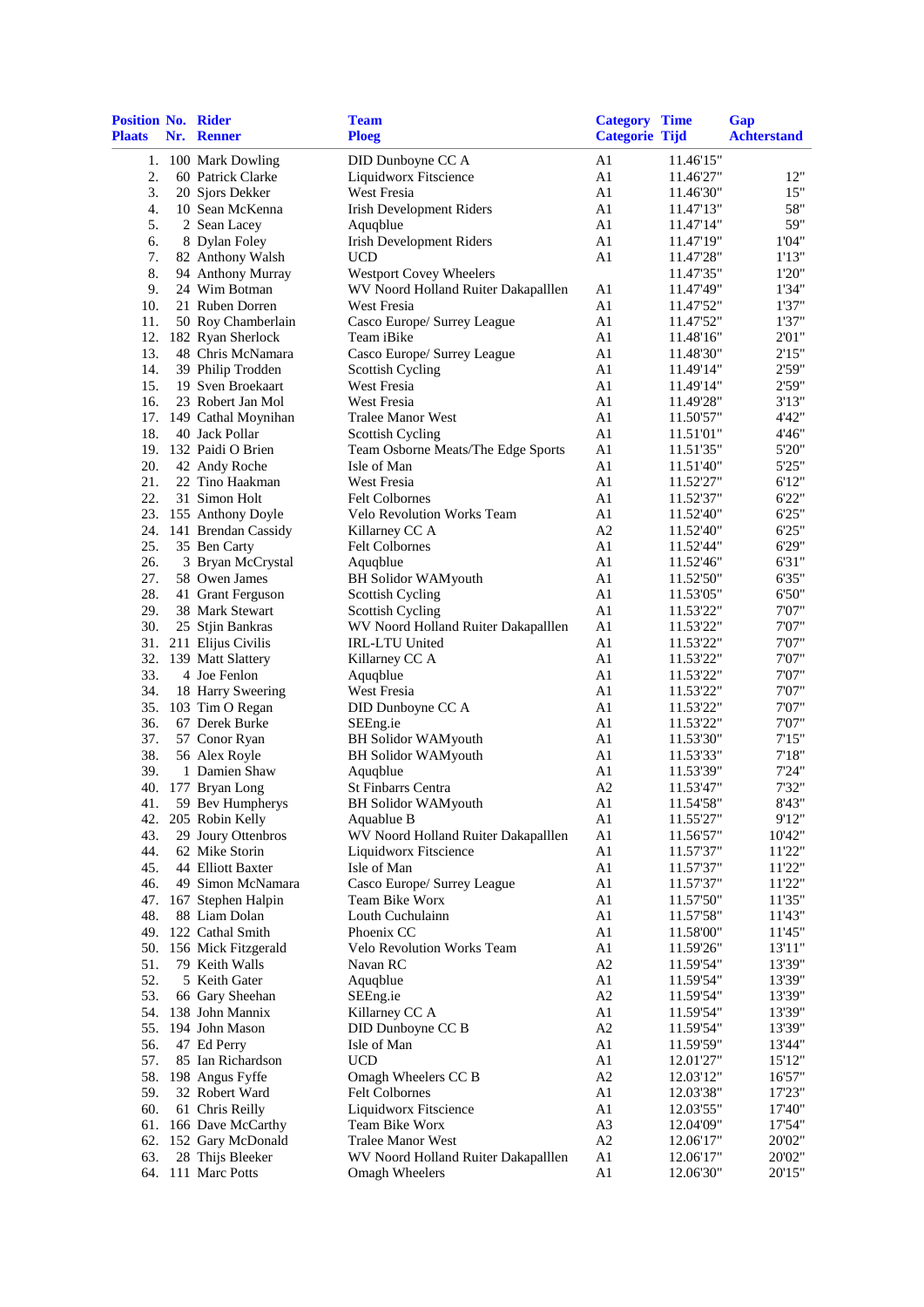| <b>Position No. Rider</b><br><b>Plaats</b> | Nr. Renner                            | <b>Team</b><br><b>Ploeg</b>         | <b>Category Time</b><br><b>Categorie Tijd</b> |                        | Gap<br><b>Achterstand</b> |
|--------------------------------------------|---------------------------------------|-------------------------------------|-----------------------------------------------|------------------------|---------------------------|
| 1.                                         | 100 Mark Dowling                      | DID Dunboyne CC A                   | A1                                            | 11.46'15"              |                           |
| 2.                                         | 60 Patrick Clarke                     | Liquidworx Fitscience               | A1                                            | 11.46'27"              | 12"                       |
| 3.                                         | 20 Sjors Dekker                       | West Fresia                         | A1                                            | 11.46'30"              | 15"                       |
| 4.                                         | 10 Sean McKenna                       | <b>Irish Development Riders</b>     | A1                                            | 11.47'13"              | 58"                       |
| 5.                                         | 2 Sean Lacey                          | Aquqblue                            | A1                                            | 11.47'14"              | 59"                       |
| 6.                                         | 8 Dylan Foley                         | <b>Irish Development Riders</b>     | A1                                            | 11.47'19"              | 1'04"                     |
| 7.                                         | 82 Anthony Walsh                      | UCD                                 | A1                                            | 11.47'28"              | 1'13"                     |
| 8.                                         | 94 Anthony Murray                     | <b>Westport Covey Wheelers</b>      |                                               | 11.47'35"              | 1'20"                     |
| 9.                                         | 24 Wim Botman                         | WV Noord Holland Ruiter Dakapalllen | A1                                            | 11.47'49"              | 1'34"                     |
| 10.                                        | 21 Ruben Dorren                       | West Fresia                         | A1                                            | 11.47'52"              | 1'37"                     |
| 11.                                        | 50 Roy Chamberlain                    | Casco Europe/ Surrey League         | A1                                            | 11.47'52"              | 1'37"                     |
| 12.                                        | 182 Ryan Sherlock                     | Team iBike                          | A1                                            | 11.48'16"              | 2'01"                     |
| 13.                                        | 48 Chris McNamara                     | Casco Europe/ Surrey League         | A1                                            | 11.48'30"              | 2'15"                     |
| 14.                                        | 39 Philip Trodden                     | <b>Scottish Cycling</b>             | A1                                            | 11.49'14"              | 2'59"                     |
| 15.                                        | 19 Sven Broekaart                     | West Fresia                         | A1                                            | 11.49'14"              | 2'59"                     |
| 16.                                        | 23 Robert Jan Mol                     | West Fresia                         | A1                                            | 11.49'28"              | 3'13"                     |
|                                            | 17. 149 Cathal Moynihan               | <b>Tralee Manor West</b>            | A1                                            | 11.50'57"              | 4'42"                     |
| 18.                                        | 40 Jack Pollar                        | <b>Scottish Cycling</b>             | A1                                            | 11.51'01"              | 4'46"                     |
|                                            | 19. 132 Paidi O Brien                 | Team Osborne Meats/The Edge Sports  | A <sub>1</sub>                                | 11.51'35"              | 5'20"                     |
| 20.                                        | 42 Andy Roche                         | Isle of Man                         | A1                                            | 11.51'40"              | 5'25"                     |
| 21.                                        | 22 Tino Haakman                       | West Fresia                         | A1                                            | 11.52'27"              | 6'12"                     |
| 22.                                        | 31 Simon Holt                         | <b>Felt Colbornes</b>               | A1                                            | 11.52'37"              | 6'22"                     |
|                                            | 23. 155 Anthony Doyle                 | Velo Revolution Works Team          | A1                                            | 11.52'40"              | 6'25"                     |
|                                            | 24. 141 Brendan Cassidy               | Killarney CC A                      | A2                                            | 11.52'40"              | 6'25"                     |
| 25.                                        | 35 Ben Carty                          | <b>Felt Colbornes</b>               | A1                                            | 11.52'44"              | 6'29"                     |
| 26.                                        | 3 Bryan McCrystal                     | Aquqblue                            | A1                                            | 11.52'46"              | 6'31"                     |
| 27.                                        | 58 Owen James                         | <b>BH Solidor WAMyouth</b>          | A1                                            | 11.52'50"              | 6'35"                     |
| 28.                                        | 41 Grant Ferguson                     | <b>Scottish Cycling</b>             | A1                                            | 11.53'05"              | 6'50"                     |
| 29.                                        | 38 Mark Stewart                       | <b>Scottish Cycling</b>             | A1                                            | 11.53'22"              | 7'07"                     |
| 30.                                        | 25 Stjin Bankras                      | WV Noord Holland Ruiter Dakapalllen | A1                                            | 11.53'22"              | 7'07"                     |
|                                            | 31. 211 Elijus Civilis                | <b>IRL-LTU United</b>               | A1                                            | 11.53'22"              | 7'07"                     |
|                                            | 32. 139 Matt Slattery                 | Killarney CC A                      | A1                                            | 11.53'22"              | 7'07"                     |
| 33.                                        | 4 Joe Fenlon                          | Aquqblue                            | A1                                            | 11.53'22"              | 7'07"                     |
| 34.                                        | 18 Harry Sweering                     | West Fresia                         | A1                                            | 11.53'22"              | 7'07"                     |
| 35.                                        | 103 Tim O Regan                       | DID Dunboyne CC A                   | A1                                            | 11.53'22"              | 7'07"                     |
| 36.                                        | 67 Derek Burke                        | SEEng.ie                            | A1                                            | 11.53'22"              | 7'07"                     |
| 37.                                        | 57 Conor Ryan                         | <b>BH</b> Solidor WAMyouth          | A1                                            | 11.53'30"              | 7'15"                     |
| 38.                                        | 56 Alex Royle                         | <b>BH Solidor WAMyouth</b>          | A1                                            | 11.53'33"              | 7'18"                     |
| 39.                                        | 1 Damien Shaw                         | Aquqblue                            | A1                                            | 11.53'39"              | 7'24"                     |
| 40.                                        | 177 Bryan Long                        | <b>St Finbarrs Centra</b>           | A <sub>2</sub>                                | 11.53'47"              | 7'32"                     |
| 41.                                        | 59 Bev Humpherys                      | <b>BH Solidor WAMyouth</b>          | A <sub>1</sub>                                | 11.54'58"              | 8'43"                     |
| 42.                                        | 205 Robin Kelly                       | Aquablue B                          | A1                                            | 11.55'27"              | 9'12"                     |
| 43.                                        | 29 Joury Ottenbros                    | WV Noord Holland Ruiter Dakapalllen | A <sub>1</sub>                                | 11.56'57"              | 10'42"                    |
| 44.                                        | 62 Mike Storin                        | Liquidworx Fitscience               | A <sub>1</sub>                                | 11.57'37"              | 11'22"                    |
| 45.                                        | 44 Elliott Baxter                     | Isle of Man                         | A1                                            | 11.57'37"              | 11'22"                    |
| 46.                                        | 49 Simon McNamara                     | Casco Europe/ Surrey League         | A <sub>1</sub>                                | 11.57'37"              | 11'22"                    |
| 47.                                        | 167 Stephen Halpin<br>88 Liam Dolan   | Team Bike Worx                      | A <sub>1</sub>                                | 11.57'50"              | 11'35"                    |
| 48.<br>49.                                 | 122 Cathal Smith                      | Louth Cuchulainn<br>Phoenix CC      | A <sub>1</sub><br>A1                          | 11.57'58"<br>11.58'00" | 11'43"<br>11'45"          |
| 50.                                        |                                       | Velo Revolution Works Team          | A <sub>1</sub>                                |                        | 13'11"                    |
| 51.                                        | 156 Mick Fitzgerald<br>79 Keith Walls | Navan RC                            | A <sub>2</sub>                                | 11.59'26"              | 13'39"                    |
| 52.                                        | 5 Keith Gater                         | Aquqblue                            | A1                                            | 11.59'54"              | 13'39"                    |
| 53.                                        | 66 Gary Sheehan                       | SEEng.ie                            | A2                                            | 11.59'54"<br>11.59'54" | 13'39"                    |
| 54.                                        | 138 John Mannix                       | Killarney CC A                      | A1                                            | 11.59'54"              | 13'39"                    |
| 55.                                        | 194 John Mason                        | DID Dunboyne CC B                   | A <sub>2</sub>                                | 11.59'54"              | 13'39"                    |
| 56.                                        | 47 Ed Perry                           | Isle of Man                         | A1                                            | 11.59'59"              | 13'44"                    |
| 57.                                        | 85 Ian Richardson                     | <b>UCD</b>                          | A1                                            | 12.01'27"              | 15'12"                    |
| 58.                                        | 198 Angus Fyffe                       | Omagh Wheelers CC B                 | A2                                            | 12.03'12"              | 16'57"                    |
| 59.                                        | 32 Robert Ward                        | <b>Felt Colbornes</b>               | A1                                            | 12.03'38"              | 17'23"                    |
| 60.                                        | 61 Chris Reilly                       | Liquidworx Fitscience               | A1                                            | 12.03'55"              | 17'40"                    |
| 61.                                        | 166 Dave McCarthy                     | Team Bike Worx                      | A <sub>3</sub>                                | 12.04'09"              | 17'54"                    |
| 62.                                        | 152 Gary McDonald                     | <b>Tralee Manor West</b>            | A2                                            | 12.06'17"              | 20'02"                    |
| 63.                                        | 28 Thijs Bleeker                      | WV Noord Holland Ruiter Dakapalllen | A <sub>1</sub>                                | 12.06'17"              | 20'02"                    |
| 64.                                        | 111 Marc Potts                        | <b>Omagh Wheelers</b>               | A <sub>1</sub>                                | 12.06'30"              | 20'15"                    |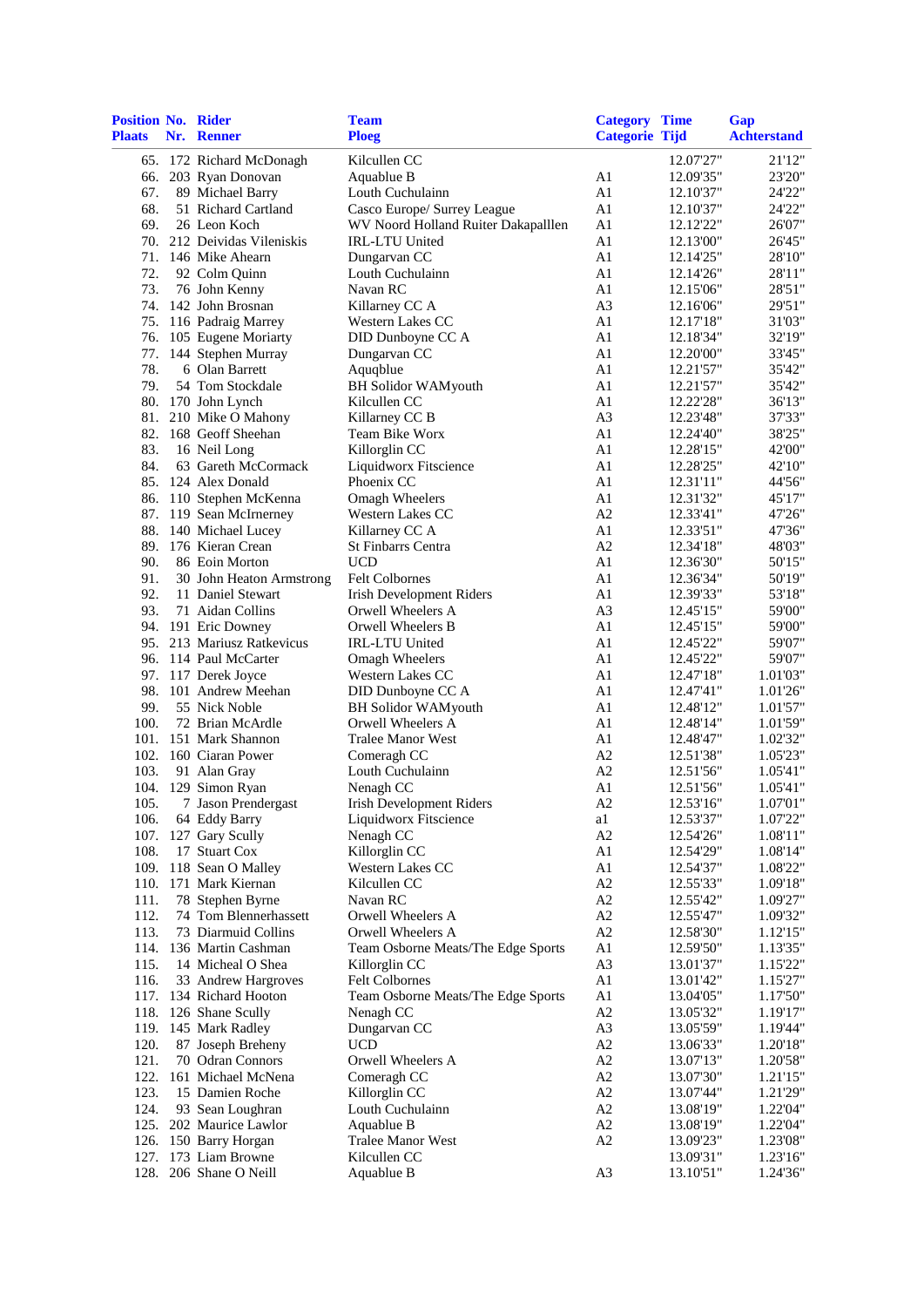| Position No. Rider<br><b>Plaats</b> | Nr. Renner                                        | <b>Team</b><br><b>Ploeg</b>                          | <b>Category Time</b><br><b>Categorie Tijd</b> |                        | Gap<br><b>Achterstand</b> |
|-------------------------------------|---------------------------------------------------|------------------------------------------------------|-----------------------------------------------|------------------------|---------------------------|
|                                     | 65. 172 Richard McDonagh                          | Kilcullen CC                                         |                                               | 12.07'27"              | 21'12"                    |
|                                     | 66. 203 Ryan Donovan                              | Aquablue B                                           | A1                                            | 12.09'35"              | 23'20"                    |
| 67.                                 | 89 Michael Barry                                  | Louth Cuchulainn                                     | A1                                            | 12.10'37"              | 24'22"                    |
| 68.                                 | 51 Richard Cartland                               | Casco Europe/ Surrey League                          | A1                                            | 12.10'37"              | 24'22"                    |
| 69.                                 | 26 Leon Koch                                      | WV Noord Holland Ruiter Dakapalllen                  | A1                                            | 12.12'22"              | 26'07"                    |
|                                     | 70. 212 Deividas Vileniskis                       | <b>IRL-LTU United</b>                                | A1                                            | 12.13'00"              | 26'45"                    |
|                                     | 71. 146 Mike Ahearn                               | Dungarvan CC                                         | A1                                            | 12.14'25"              | 28'10"                    |
| 72.                                 | 92 Colm Quinn                                     | Louth Cuchulainn                                     | A1                                            | 12.14'26"              | 28'11"                    |
| 73.                                 | 76 John Kenny                                     | Navan RC                                             | A1                                            | 12.15'06"              | 28'51"                    |
|                                     | 74. 142 John Brosnan                              | Killarney CC A<br>Western Lakes CC                   | A <sub>3</sub>                                | 12.16'06"              | 29'51"                    |
|                                     | 75. 116 Padraig Marrey<br>76. 105 Eugene Moriarty | DID Dunboyne CC A                                    | A1<br>A1                                      | 12.17'18"<br>12.18'34" | 31'03"<br>32'19"          |
| 77.                                 | 144 Stephen Murray                                | Dungarvan CC                                         | A1                                            | 12.20'00"              | 33'45"                    |
| 78.                                 | 6 Olan Barrett                                    | Aquqblue                                             | A1                                            | 12.21'57"              | 35'42"                    |
| 79.                                 | 54 Tom Stockdale                                  | <b>BH</b> Solidor WAMyouth                           | A1                                            | 12.21'57"              | 35'42"                    |
|                                     | 80. 170 John Lynch                                | Kilcullen CC                                         | A1                                            | 12.22'28"              | 36'13"                    |
|                                     | 81. 210 Mike O Mahony                             | Killarney CC B                                       | A <sub>3</sub>                                | 12.23'48"              | 37'33"                    |
|                                     | 82. 168 Geoff Sheehan                             | Team Bike Worx                                       | A1                                            | 12.24'40"              | 38'25"                    |
| 83.                                 | 16 Neil Long                                      | Killorglin CC                                        | A1                                            | 12.28'15"              | 42'00"                    |
| 84.                                 | 63 Gareth McCormack                               | Liquidworx Fitscience                                | A1                                            | 12.28'25"              | 42'10"                    |
|                                     | 85. 124 Alex Donald                               | Phoenix CC                                           | A1                                            | 12.31'11"              | 44'56"                    |
|                                     | 86. 110 Stephen McKenna                           | <b>Omagh Wheelers</b>                                | A1                                            | 12.31'32"              | 45'17"                    |
|                                     | 87. 119 Sean McIrnerney                           | Western Lakes CC                                     | A2                                            | 12.33'41"              | 47'26"                    |
|                                     | 88. 140 Michael Lucey                             | Killarney CC A                                       | A1                                            | 12.33'51"              | 47'36"                    |
|                                     | 89. 176 Kieran Crean                              | <b>St Finbarrs Centra</b>                            | A2                                            | 12.34'18"              | 48'03"                    |
| 90.                                 | 86 Eoin Morton                                    | <b>UCD</b>                                           | A1                                            | 12.36'30"              | 50'15"                    |
| 91.                                 | 30 John Heaton Armstrong                          | Felt Colbornes                                       | A1                                            | 12.36'34"              | 50'19"                    |
| 92.<br>93.                          | 11 Daniel Stewart<br>71 Aidan Collins             | <b>Irish Development Riders</b><br>Orwell Wheelers A | A1<br>A <sub>3</sub>                          | 12.39'33"<br>12.45'15" | 53'18"<br>59'00"          |
|                                     | 94. 191 Eric Downey                               | Orwell Wheelers B                                    | A1                                            | 12.45'15"              | 59'00"                    |
|                                     | 95. 213 Mariusz Ratkevicus                        | IRL-LTU United                                       | A1                                            | 12.45'22"              | 59'07"                    |
|                                     | 96. 114 Paul McCarter                             | Omagh Wheelers                                       | A1                                            | 12.45'22"              | 59'07"                    |
|                                     | 97. 117 Derek Joyce                               | Western Lakes CC                                     | A1                                            | 12.47'18"              | 1.01'03"                  |
|                                     | 98. 101 Andrew Meehan                             | DID Dunboyne CC A                                    | A1                                            | 12.47'41"              | 1.01'26"                  |
| 99.                                 | 55 Nick Noble                                     | <b>BH Solidor WAMyouth</b>                           | A1                                            | 12.48'12"              | 1.01'57"                  |
| 100.                                | 72 Brian McArdle                                  | Orwell Wheelers A                                    | A1                                            | 12.48'14"              | 1.01'59"                  |
| 101.                                | 151 Mark Shannon                                  | <b>Tralee Manor West</b>                             | A1                                            | 12.48'47"              | 1.02'32"                  |
|                                     | 102. 160 Ciaran Power                             | Comeragh CC                                          | A2                                            | 12.51'38"              | 1.05'23"                  |
| 103.                                | 91 Alan Gray                                      | Louth Cuchulainn                                     | A2                                            | 12.51'56"              | 1.05'41"                  |
| 104.                                | 129 Simon Ryan                                    | Nenagh CC                                            | A1                                            | 12.51'56"              | 1.05'41"                  |
| 105.                                | 7 Jason Prendergast                               | Irish Development Riders                             | A2                                            | 12.53'16"              | 1.07'01"                  |
| 106.                                | 64 Eddy Barry                                     | Liquidworx Fitscience                                | a1                                            | 12.53'37"              | 1.07'22"                  |
| 107.<br>108.                        | 127 Gary Scully<br>17 Stuart Cox                  | Nenagh CC<br>Killorglin CC                           | A2<br>A1                                      | 12.54'26"              | 1.08'11"                  |
| 109.                                | 118 Sean O Malley                                 | Western Lakes CC                                     | A1                                            | 12.54'29"<br>12.54'37" | 1.08'14"<br>1.08'22"      |
|                                     | 110. 171 Mark Kiernan                             | Kilcullen CC                                         | A2                                            | 12.55'33"              | 1.09'18"                  |
| 111.                                | 78 Stephen Byrne                                  | Navan RC                                             | A2                                            | 12.55'42"              | 1.09'27"                  |
| 112.                                | 74 Tom Blennerhassett                             | Orwell Wheelers A                                    | A2                                            | 12.55'47"              | 1.09'32"                  |
| 113.                                | 73 Diarmuid Collins                               | Orwell Wheelers A                                    | A2                                            | 12.58'30"              | 1.12'15"                  |
| 114.                                | 136 Martin Cashman                                | Team Osborne Meats/The Edge Sports                   | A1                                            | 12.59'50"              | 1.13'35"                  |
| 115.                                | 14 Micheal O Shea                                 | Killorglin CC                                        | A <sub>3</sub>                                | 13.01'37"              | 1.15'22"                  |
| 116.                                | 33 Andrew Hargroves                               | <b>Felt Colbornes</b>                                | A1                                            | 13.01'42"              | 1.15'27"                  |
|                                     | 117. 134 Richard Hooton                           | Team Osborne Meats/The Edge Sports                   | A1                                            | 13.04'05"              | 1.17'50"                  |
|                                     | 118. 126 Shane Scully                             | Nenagh CC                                            | A2                                            | 13.05'32"              | 1.19'17"                  |
|                                     | 119. 145 Mark Radley                              | Dungarvan CC                                         | A <sub>3</sub>                                | 13.05'59"              | 1.19'44"                  |
| 120.                                | 87 Joseph Breheny                                 | <b>UCD</b>                                           | A2                                            | 13.06'33"              | 1.20'18"                  |
| 121.                                | 70 Odran Connors                                  | Orwell Wheelers A                                    | $\rm A2$                                      | 13.07'13"              | 1.20'58"                  |
| 122.                                | 161 Michael McNena<br>15 Damien Roche             | Comeragh CC                                          | A2                                            | 13.07'30"              | 1.21'15"                  |
| 123.<br>124.                        | 93 Sean Loughran                                  | Killorglin CC<br>Louth Cuchulainn                    | A2<br>A2                                      | 13.07'44"              | 1.21'29"<br>1.22'04"      |
| 125.                                | 202 Maurice Lawlor                                | Aquablue B                                           | A2                                            | 13.08'19"<br>13.08'19" | 1.22'04"                  |
| 126.                                | 150 Barry Horgan                                  | Tralee Manor West                                    | A <sub>2</sub>                                | 13.09'23"              | 1.23'08"                  |
| 127.                                | 173 Liam Browne                                   | Kilcullen CC                                         |                                               | 13.09'31"              | 1.23'16"                  |
| 128.                                | 206 Shane O Neill                                 | Aquablue B                                           | A <sub>3</sub>                                | 13.10'51"              | 1.24'36"                  |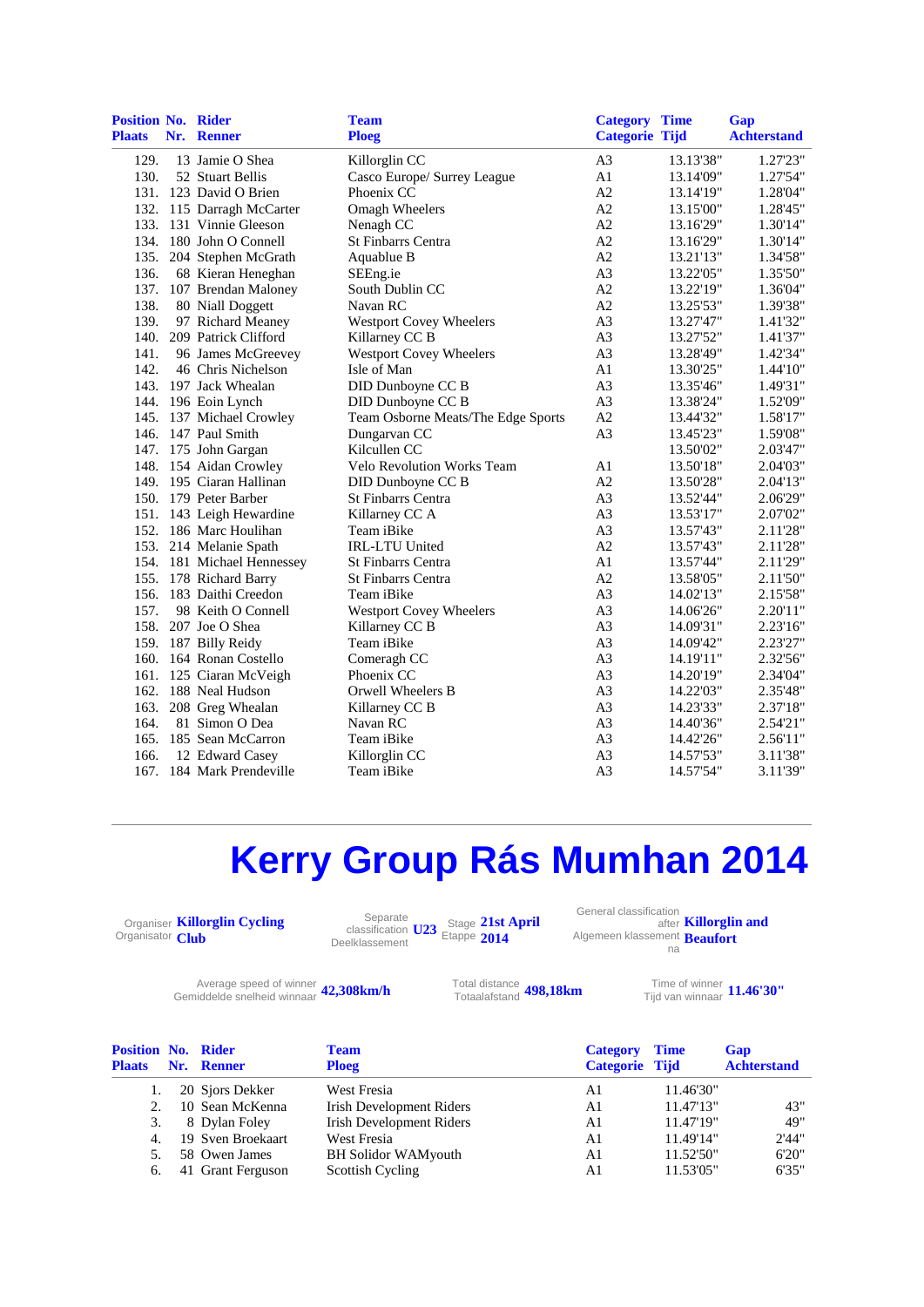| Position No. Rider<br><b>Plaats</b> | Nr. Renner                 | <b>Team</b><br><b>Ploeg</b>        | <b>Category Time</b><br><b>Categorie Tijd</b> |           | Gap<br><b>Achterstand</b> |
|-------------------------------------|----------------------------|------------------------------------|-----------------------------------------------|-----------|---------------------------|
| 129.                                | 13 Jamie O Shea            | Killorglin CC                      | A <sub>3</sub>                                | 13.13'38" | 1.27'23"                  |
| 130.                                | 52 Stuart Bellis           | Casco Europe/ Surrey League        | A1                                            | 13.14'09" | 1.27'54"                  |
|                                     | 131. 123 David O Brien     | Phoenix CC                         | A2                                            | 13.14'19" | 1.28'04"                  |
|                                     | 132. 115 Darragh McCarter  | Omagh Wheelers                     | A2                                            | 13.15'00" | 1.28'45"                  |
|                                     | 133. 131 Vinnie Gleeson    | Nenagh CC                          | A2                                            | 13.16'29" | 1.30'14"                  |
|                                     | 134. 180 John O Connell    | <b>St Finbarrs Centra</b>          | A2                                            | 13.16'29" | 1.30'14"                  |
| 135.                                | 204 Stephen McGrath        | Aquablue B                         | A2                                            | 13.21'13" | 1.34'58"                  |
| 136.                                | 68 Kieran Heneghan         | SEEng.ie                           | A <sub>3</sub>                                | 13.22'05" | 1.35'50"                  |
|                                     | 137. 107 Brendan Maloney   | South Dublin CC                    | A2                                            | 13.22'19" | 1.36'04"                  |
| 138.                                | 80 Niall Doggett           | Navan RC                           | A2                                            | 13.25'53" | 1.39'38"                  |
| 139.                                | 97 Richard Meaney          | Westport Covey Wheelers            | A3                                            | 13.27'47" | 1.41'32"                  |
| 140.                                | 209 Patrick Clifford       | Killarney CC B                     | A <sub>3</sub>                                | 13.27'52" | 1.41'37"                  |
| 141.                                | 96 James McGreevey         | <b>Westport Covey Wheelers</b>     | A3                                            | 13.28'49" | 1.42'34"                  |
| 142.                                | 46 Chris Nichelson         | Isle of Man                        | A <sub>1</sub>                                | 13.30'25" | 1.44'10"                  |
|                                     | 143. 197 Jack Whealan      | DID Dunboyne CC B                  | A <sub>3</sub>                                | 13.35'46" | 1.49'31"                  |
|                                     | 144. 196 Eoin Lynch        | DID Dunboyne CC B                  | A <sub>3</sub>                                | 13.38'24" | 1.52'09"                  |
|                                     | 145. 137 Michael Crowley   | Team Osborne Meats/The Edge Sports | A2                                            | 13.44'32" | 1.58'17"                  |
|                                     | 146. 147 Paul Smith        | Dungarvan CC                       | A3                                            | 13.45'23" | 1.59'08"                  |
|                                     | 147. 175 John Gargan       | Kilcullen CC                       |                                               | 13.50'02" | 2.03'47"                  |
|                                     | 148. 154 Aidan Crowley     | <b>Velo Revolution Works Team</b>  | A <sub>1</sub>                                | 13.50'18" | 2.04'03"                  |
|                                     | 149. 195 Ciaran Hallinan   | DID Dunboyne CC B                  | A2                                            | 13.50'28" | 2.04'13"                  |
|                                     | 150. 179 Peter Barber      | <b>St Finbarrs Centra</b>          | A3                                            | 13.52'44" | 2.06'29"                  |
|                                     | 151. 143 Leigh Hewardine   | Killarney CC A                     | A3                                            | 13.53'17" | 2.07'02"                  |
|                                     | 152. 186 Marc Houlihan     | Team iBike                         | A <sub>3</sub>                                | 13.57'43" | 2.11'28"                  |
|                                     | 153. 214 Melanie Spath     | <b>IRL-LTU United</b>              | A2                                            | 13.57'43" | 2.11'28"                  |
|                                     | 154. 181 Michael Hennessey | St Finbarrs Centra                 | A1                                            | 13.57'44" | 2.11'29"                  |
|                                     | 155. 178 Richard Barry     | <b>St Finbarrs Centra</b>          | A2                                            | 13.58'05" | 2.11'50"                  |
|                                     | 156. 183 Daithi Creedon    | Team iBike                         | A <sub>3</sub>                                | 14.02'13" | 2.15'58"                  |
| 157.                                | 98 Keith O Connell         | <b>Westport Covey Wheelers</b>     | A <sub>3</sub>                                | 14.06'26" | 2.20'11"                  |
|                                     | 158. 207 Joe O Shea        | Killarney CC B                     | A <sub>3</sub>                                | 14.09'31" | 2.23'16"                  |
|                                     | 159. 187 Billy Reidy       | Team iBike                         | A <sub>3</sub>                                | 14.09'42" | 2.23'27"                  |
|                                     | 160. 164 Ronan Costello    | Comeragh CC                        | A3                                            | 14.19'11" | 2.32'56"                  |
|                                     | 161. 125 Ciaran McVeigh    | Phoenix CC                         | A3                                            | 14.20'19" | 2.34'04"                  |
|                                     | 162. 188 Neal Hudson       | Orwell Wheelers B                  | A <sub>3</sub>                                | 14.22'03" | 2.35'48"                  |
| 163.                                | 208 Greg Whealan           | Killarney CC B                     | A <sub>3</sub>                                | 14.23'33" | 2.37'18"                  |
| 164.                                | 81 Simon O Dea             | Navan RC                           | A <sub>3</sub>                                | 14.40'36" | 2.54'21"                  |
| 165.                                | 185 Sean McCarron          | Team iBike                         | A <sub>3</sub>                                | 14.42'26" | 2.56'11"                  |
| 166.                                | 12 Edward Casey            | Killorglin CC                      | A <sub>3</sub>                                | 14.57'53" | 3.11'38"                  |
|                                     | 167. 184 Mark Prendeville  | Team iBike                         | A <sub>3</sub>                                | 14.57'54" | 3.11'39"                  |

# **Kerry Group Rás Mumhan 2014**

Organiser **Killorglin Cycling**  Organisator **Club**

Separate classification **U23** Stage Etappe Deelklassement **21st April 2014**

General classification after **Killorglin and**  Algemeen klassement **Beaufort** na

Average speed of winner **42,308km/h** Total distance<br>Totaalafstand winnaar **42,308km/h** Totaalafstand

Total distance **498,18km**<br>Totaalafstand **498,18km** 

Tijd van winnaar **11.46'30"**

| <b>Position No. Rider</b><br><b>Plaats</b> | Nr. Renner        | <b>Team</b><br><b>Ploeg</b>     | <b>Category</b><br>Categorie Tijd | <b>Time</b> | Gap<br><b>Achterstand</b> |
|--------------------------------------------|-------------------|---------------------------------|-----------------------------------|-------------|---------------------------|
|                                            | 20 Sjors Dekker   | West Fresia                     | A1                                | 11.46'30"   |                           |
| 2.                                         | 10 Sean McKenna   | <b>Irish Development Riders</b> | A1                                | 11.47'13"   | 43"                       |
| 3.                                         | 8 Dylan Foley     | <b>Irish Development Riders</b> | A1                                | 11.47'19"   | 49"                       |
| 4.                                         | 19 Sven Broekaart | West Fresia                     | A1                                | 11.49'14"   | 2'44"                     |
| 5.                                         | 58 Owen James     | <b>BH Solidor WAMyouth</b>      | A1                                | 11.52'50"   | 6'20"                     |
| 6.                                         | 41 Grant Ferguson | Scottish Cycling                | A1                                | 11.53'05"   | 6'35"                     |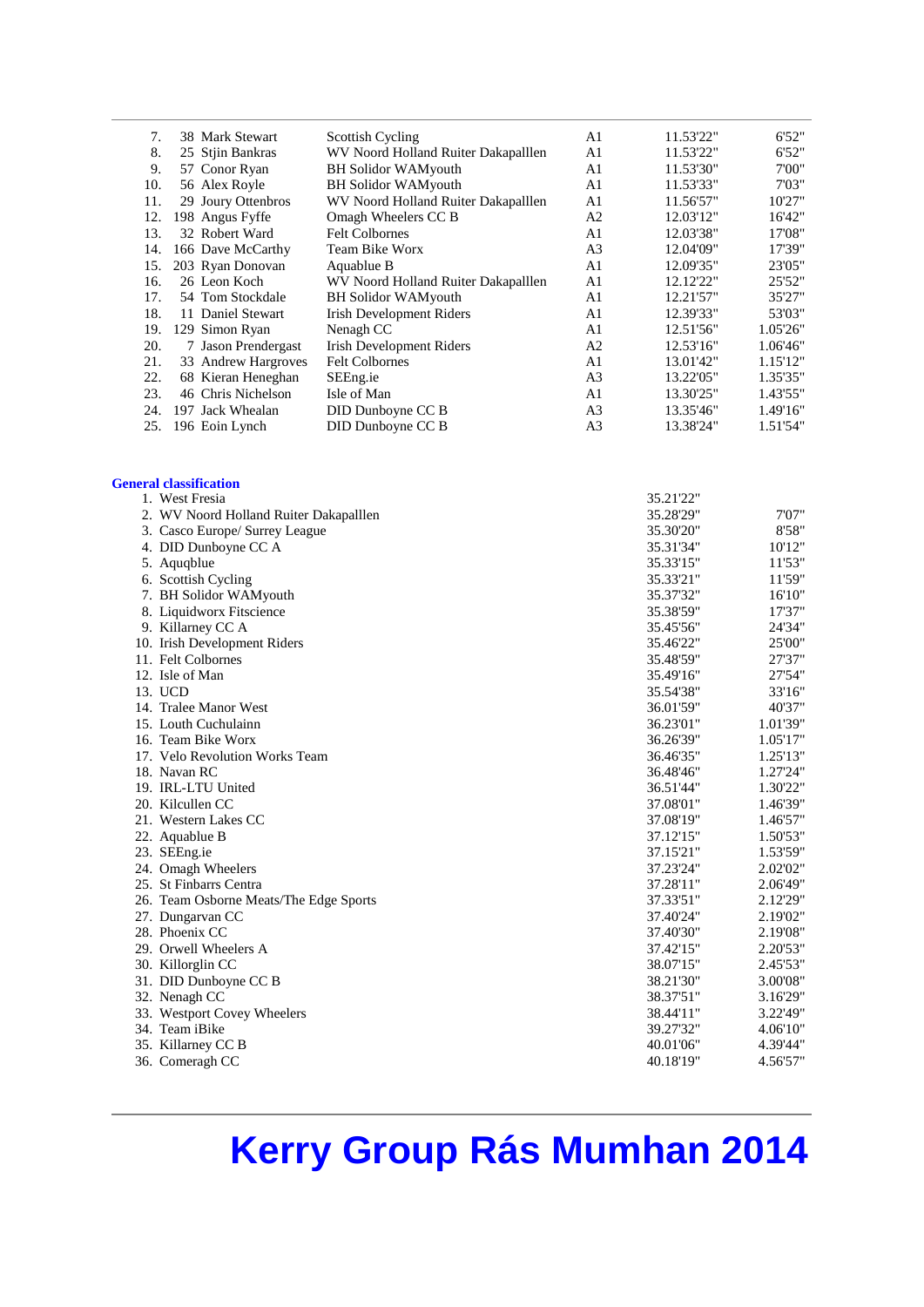| 7.  | 38 Mark Stewart     | <b>Scottish Cycling</b>             | A <sub>1</sub> | 11.53'22" | 6'52"    |
|-----|---------------------|-------------------------------------|----------------|-----------|----------|
| 8.  | 25 Stjin Bankras    | WV Noord Holland Ruiter Dakapalllen | A <sub>1</sub> | 11.53'22" | 6'52"    |
| 9.  | 57 Conor Ryan       | <b>BH Solidor WAMyouth</b>          | A <sub>1</sub> | 11.53'30" | 7'00"    |
| 10. | 56 Alex Royle       | <b>BH Solidor WAMyouth</b>          | A <sub>1</sub> | 11.53'33" | 7'03"    |
| 11. | 29 Joury Ottenbros  | WV Noord Holland Ruiter Dakapalllen | A <sub>1</sub> | 11.56'57" | 10'27"   |
| 12. | 198 Angus Fyffe     | Omagh Wheelers CC B                 | A2             | 12.03'12" | 16'42"   |
| 13. | 32 Robert Ward      | <b>Felt Colbornes</b>               | A <sub>1</sub> | 12.03'38" | 17'08"   |
| 14. | 166 Dave McCarthy   | Team Bike Worx                      | A <sub>3</sub> | 12.04'09" | 17'39"   |
| 15. | 203 Ryan Donovan    | Aquablue B                          | A1             | 12.09'35" | 23'05"   |
| 16. | 26 Leon Koch        | WV Noord Holland Ruiter Dakapalllen | A <sub>1</sub> | 12.12'22" | 25'52"   |
| 17. | 54 Tom Stockdale    | <b>BH Solidor WAMyouth</b>          | A <sub>1</sub> | 12.21'57" | 35'27"   |
| 18. | 11 Daniel Stewart   | <b>Irish Development Riders</b>     | A1             | 12.39'33" | 53'03"   |
| 19. | 129 Simon Ryan      | Nenagh CC                           | A1             | 12.51'56" | 1.05'26" |
| 20. | 7 Jason Prendergast | <b>Irish Development Riders</b>     | A2             | 12.53'16" | 1.06'46" |
| 21. | 33 Andrew Hargroves | <b>Felt Colbornes</b>               | A <sub>1</sub> | 13.01'42" | 1.15'12" |
| 22. | 68 Kieran Heneghan  | SEEng.ie                            | A <sub>3</sub> | 13.22'05" | 1.35'35" |
| 23. | 46 Chris Nichelson  | Isle of Man                         | A <sub>1</sub> | 13.30'25" | 1.43'55" |
| 24. | 197 Jack Whealan    | DID Dunboyne CC B                   | A <sub>3</sub> | 13.35'46" | 1.49'16" |
| 25. | 196 Eoin Lynch      | DID Dunboyne CC B                   | A <sub>3</sub> | 13.38'24" | 1.51'54" |
|     |                     |                                     |                |           |          |

#### **General classification**

| 1. West Fresia                         | 35.21'22" |          |
|----------------------------------------|-----------|----------|
| 2. WV Noord Holland Ruiter Dakapalllen | 35.28'29" | 7'07"    |
| 3. Casco Europe/ Surrey League         | 35.30'20" | 8'58"    |
| 4. DID Dunboyne CC A                   | 35.31'34" | 10'12"   |
| 5. Aquqblue                            | 35.33'15" | 11'53"   |
| 6. Scottish Cycling                    | 35.33'21" | 11'59"   |
| 7. BH Solidor WAMyouth                 | 35.37'32" | 16'10"   |
| 8. Liquidworx Fitscience               | 35.38'59" | 17'37"   |
| 9. Killarney CC A                      | 35.45'56" | 24'34"   |
| 10. Irish Development Riders           | 35.46'22" | 25'00"   |
| 11. Felt Colbornes                     | 35.48'59" | 27'37"   |
| 12. Isle of Man                        | 35.49'16" | 27'54"   |
| 13. UCD                                | 35.54'38" | 33'16"   |
| 14. Tralee Manor West                  | 36.01'59" | 40'37"   |
| 15. Louth Cuchulainn                   | 36.23'01" | 1.01'39" |
| 16. Team Bike Worx                     | 36.26'39" | 1.05'17" |
| 17. Velo Revolution Works Team         | 36.46'35" | 1.25'13" |
| 18. Navan RC                           | 36.48'46" | 1.27'24" |
| 19. IRL-LTU United                     | 36.51'44" | 1.30'22" |
| 20. Kilcullen CC                       | 37.08'01" | 1.46'39" |
| 21. Western Lakes CC                   | 37.08'19" | 1.46'57" |
| 22. Aquablue B                         | 37.12'15" | 1.50'53" |
| 23. SEEng.ie                           | 37.15'21" | 1.53'59" |
| 24. Omagh Wheelers                     | 37.23'24" | 2.02'02" |
| 25. St Finbarrs Centra                 | 37.28'11" | 2.06'49" |
| 26. Team Osborne Meats/The Edge Sports | 37.33'51" | 2.12'29" |
| 27. Dungarvan CC                       | 37.40'24" | 2.19'02" |
| 28. Phoenix CC                         | 37.40'30" | 2.19'08" |
| 29. Orwell Wheelers A                  | 37.42'15" | 2.20'53" |
| 30. Killorglin CC                      | 38.07'15" | 2.45'53" |
| 31. DID Dunboyne CC B                  | 38.21'30" | 3.00'08" |
| 32. Nenagh CC                          | 38.37'51" | 3.16'29" |
| 33. Westport Covey Wheelers            | 38.44'11" | 3.22'49" |
| 34. Team iBike                         | 39.27'32" | 4.06'10" |
| 35. Killarney CC B                     | 40.01'06" | 4.39'44" |
| 36. Comeragh CC                        | 40.18'19" | 4.56'57" |

## **Kerry Group Rás Mumhan 2014**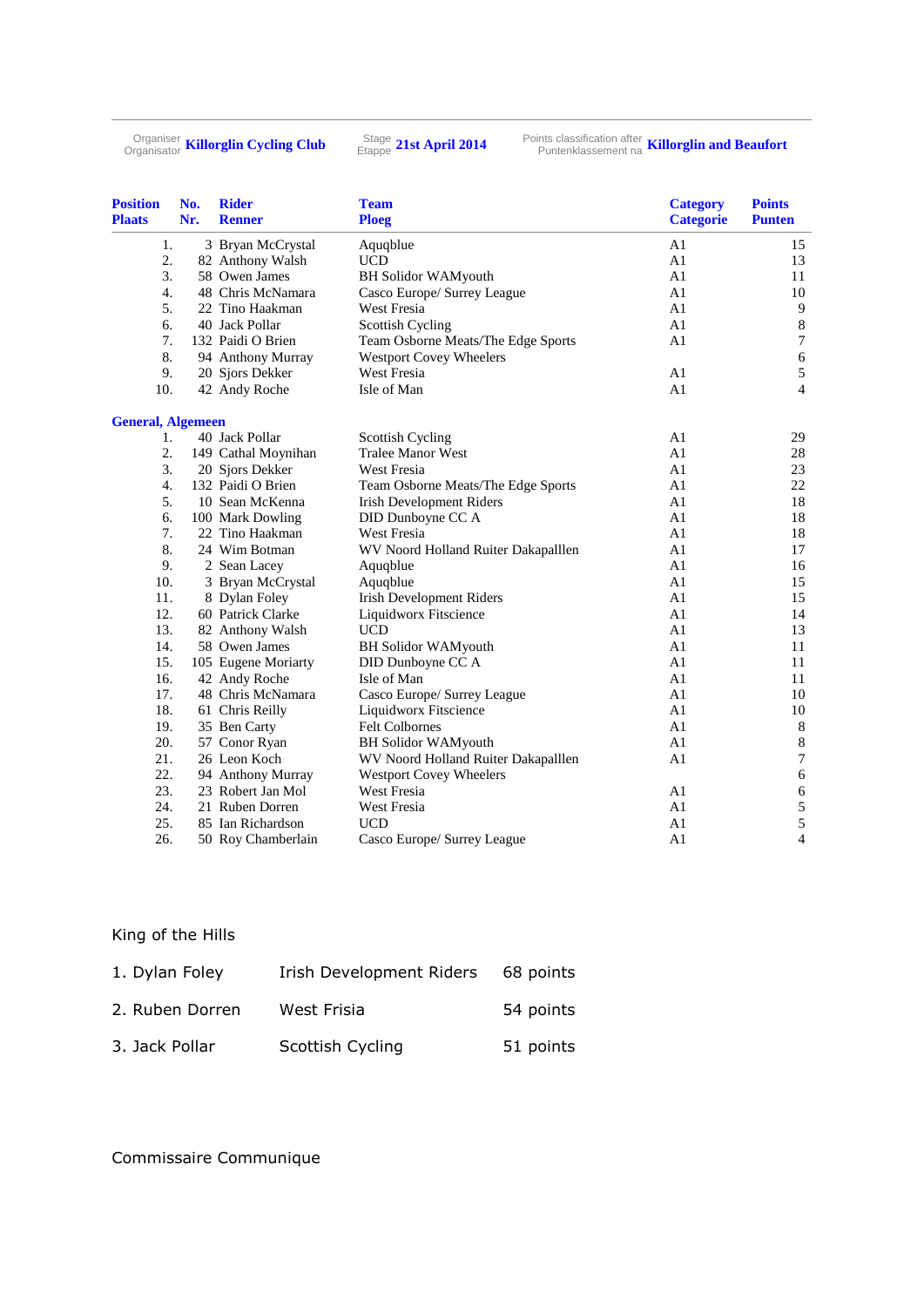Organiser **Killorglin Cycling Club** Stage

<sup>Stage</sup> 21st April 2014

Puntenklassement na **Killorglin and Beaufort**

| <b>Position</b><br><b>Plaats</b> | No.<br>Nr. | <b>Rider</b><br><b>Renner</b> | <b>Team</b><br><b>Ploeg</b>         | <b>Category</b><br><b>Categorie</b> | <b>Points</b><br><b>Punten</b> |
|----------------------------------|------------|-------------------------------|-------------------------------------|-------------------------------------|--------------------------------|
| 1.                               |            | 3 Bryan McCrystal             | Aquqblue                            | A1                                  | 15                             |
| 2.                               |            | 82 Anthony Walsh              | <b>UCD</b>                          | A1                                  | 13                             |
| 3.                               |            | 58 Owen James                 | <b>BH Solidor WAMyouth</b>          | A1                                  | 11                             |
| 4.                               |            | 48 Chris McNamara             | Casco Europe/ Surrey League         | A1                                  | 10                             |
| 5.                               |            | 22 Tino Haakman               | <b>West Fresia</b>                  | A1                                  | $\overline{9}$                 |
| 6.                               |            | 40 Jack Pollar                | <b>Scottish Cycling</b>             | A <sub>1</sub>                      | $\,8\,$                        |
| 7.                               |            | 132 Paidi O Brien             | Team Osborne Meats/The Edge Sports  | A1                                  | $\boldsymbol{7}$               |
| 8.                               |            | 94 Anthony Murray             | <b>Westport Covey Wheelers</b>      |                                     | $\sqrt{6}$                     |
| 9.                               |            | 20 Sjors Dekker               | West Fresia                         | A1                                  | 5                              |
| 10.                              |            | 42 Andy Roche                 | Isle of Man                         | A1                                  | $\overline{4}$                 |
| <b>General, Algemeen</b>         |            |                               |                                     |                                     |                                |
| 1.                               |            | 40 Jack Pollar                | Scottish Cycling                    | A1                                  | 29                             |
| 2.                               |            | 149 Cathal Moynihan           | <b>Tralee Manor West</b>            | A1                                  | 28                             |
| 3.                               |            | 20 Sjors Dekker               | <b>West Fresia</b>                  | A1                                  | 23                             |
| $\overline{4}$ .                 |            | 132 Paidi O Brien             | Team Osborne Meats/The Edge Sports  | A1                                  | 22                             |
| 5.                               |            | 10 Sean McKenna               | <b>Irish Development Riders</b>     | A <sub>1</sub>                      | 18                             |
| 6.                               |            | 100 Mark Dowling              | DID Dunboyne CC A                   | A1                                  | 18                             |
| 7.                               |            | 22 Tino Haakman               | West Fresia                         | A1                                  | 18                             |
| 8.                               |            | 24 Wim Botman                 | WV Noord Holland Ruiter Dakapalllen | A1                                  | 17                             |
| 9.                               |            | 2 Sean Lacey                  | Aquqblue                            | A1                                  | 16                             |
| 10.                              |            | 3 Bryan McCrystal             | Aquqblue                            | A1                                  | 15                             |
| 11.                              |            | 8 Dylan Foley                 | <b>Irish Development Riders</b>     | A1                                  | 15                             |
| 12.                              |            | 60 Patrick Clarke             | Liquidworx Fitscience               | A1                                  | 14                             |
| 13.                              |            | 82 Anthony Walsh              | <b>UCD</b>                          | A1                                  | 13                             |
| 14.                              |            | 58 Owen James                 | <b>BH Solidor WAMyouth</b>          | A1                                  | 11                             |
| 15.                              |            | 105 Eugene Moriarty           | DID Dunboyne CC A                   | A1                                  | 11                             |
| 16.                              |            | 42 Andy Roche                 | Isle of Man                         | A1                                  | 11                             |
| 17.                              |            | 48 Chris McNamara             | Casco Europe/ Surrey League         | A1                                  | 10                             |
| 18.                              |            | 61 Chris Reilly               | Liquidworx Fitscience               | A1                                  | 10                             |
| 19.                              |            | 35 Ben Carty                  | Felt Colbornes                      | A1                                  | $\,8\,$                        |
| 20.                              |            | 57 Conor Ryan                 | <b>BH Solidor WAMyouth</b>          | A1                                  | $\,8\,$                        |
| 21.                              |            | 26 Leon Koch                  | WV Noord Holland Ruiter Dakapalllen | A1                                  | $\boldsymbol{7}$               |
| 22.                              |            | 94 Anthony Murray             | <b>Westport Covey Wheelers</b>      |                                     | $\sqrt{6}$                     |
| 23.                              |            | 23 Robert Jan Mol             | <b>West Fresia</b>                  | A <sub>1</sub>                      | $\sqrt{6}$                     |
| 24.                              |            | 21 Ruben Dorren               | West Fresia                         | A1                                  | 5                              |
| 25.                              |            | 85 Ian Richardson             | <b>UCD</b>                          | A1                                  | 5                              |
| 26.                              |            | 50 Roy Chamberlain            | Casco Europe/ Surrey League         | A <sub>1</sub>                      | $\overline{4}$                 |

#### King of the Hills

| 1. Dylan Foley  | Irish Development Riders | 68 points |
|-----------------|--------------------------|-----------|
| 2. Ruben Dorren | West Frisia              | 54 points |
| 3. Jack Pollar  | Scottish Cycling         | 51 points |

### Commissaire Communique